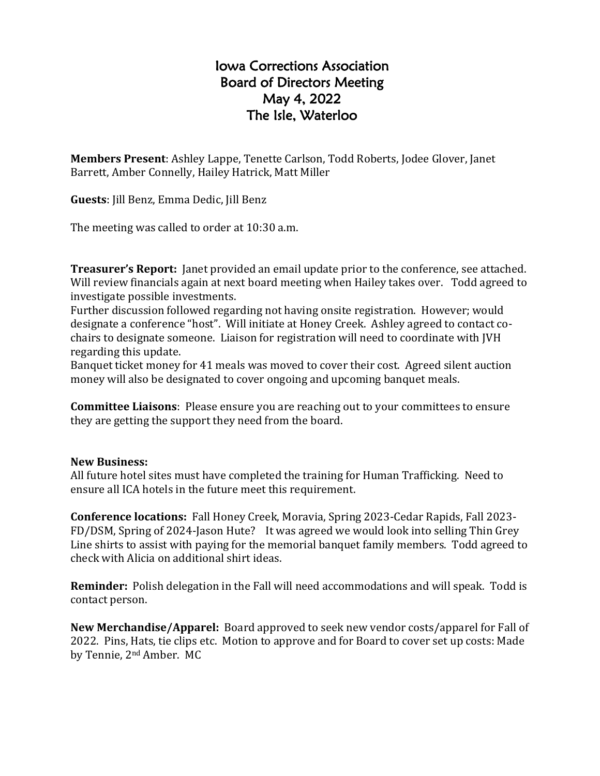## Iowa Corrections Association Board of Directors Meeting May 4, 2022 The Isle, Waterloo

**Members Present**: Ashley Lappe, Tenette Carlson, Todd Roberts, Jodee Glover, Janet Barrett, Amber Connelly, Hailey Hatrick, Matt Miller

**Guests**: Jill Benz, Emma Dedic, Jill Benz

The meeting was called to order at 10:30 a.m.

**Treasurer's Report:** Janet provided an email update prior to the conference, see attached. Will review financials again at next board meeting when Hailey takes over. Todd agreed to investigate possible investments.

Further discussion followed regarding not having onsite registration. However; would designate a conference "host". Will initiate at Honey Creek. Ashley agreed to contact cochairs to designate someone. Liaison for registration will need to coordinate with JVH regarding this update.

Banquet ticket money for 41 meals was moved to cover their cost. Agreed silent auction money will also be designated to cover ongoing and upcoming banquet meals.

**Committee Liaisons**: Please ensure you are reaching out to your committees to ensure they are getting the support they need from the board.

## **New Business:**

All future hotel sites must have completed the training for Human Trafficking. Need to ensure all ICA hotels in the future meet this requirement.

**Conference locations:** Fall Honey Creek, Moravia, Spring 2023-Cedar Rapids, Fall 2023- FD/DSM, Spring of 2024-Jason Hute? It was agreed we would look into selling Thin Grey Line shirts to assist with paying for the memorial banquet family members. Todd agreed to check with Alicia on additional shirt ideas.

**Reminder:** Polish delegation in the Fall will need accommodations and will speak. Todd is contact person.

**New Merchandise/Apparel:** Board approved to seek new vendor costs/apparel for Fall of 2022. Pins, Hats, tie clips etc. Motion to approve and for Board to cover set up costs: Made by Tennie, 2nd Amber. MC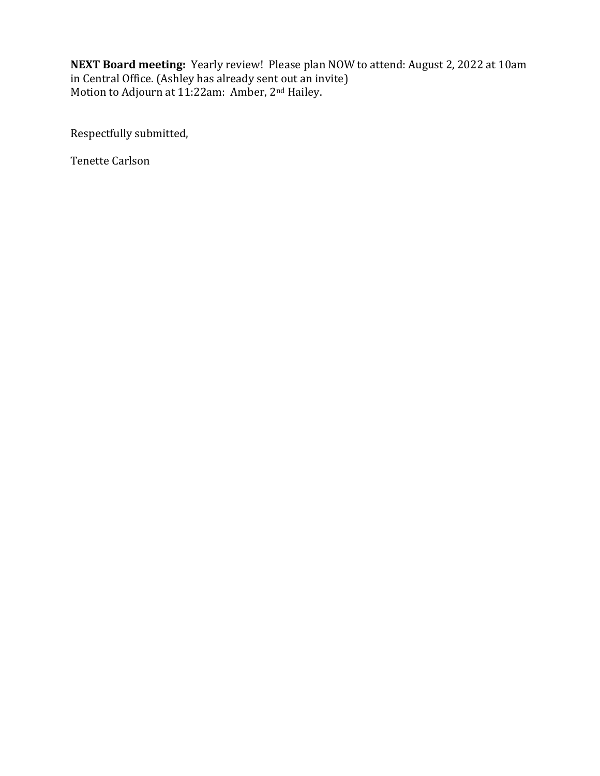**NEXT Board meeting:** Yearly review! Please plan NOW to attend: August 2, 2022 at 10am in Central Office. (Ashley has already sent out an invite) Motion to Adjourn at 11:22am: Amber, 2nd Hailey.

Respectfully submitted,

Tenette Carlson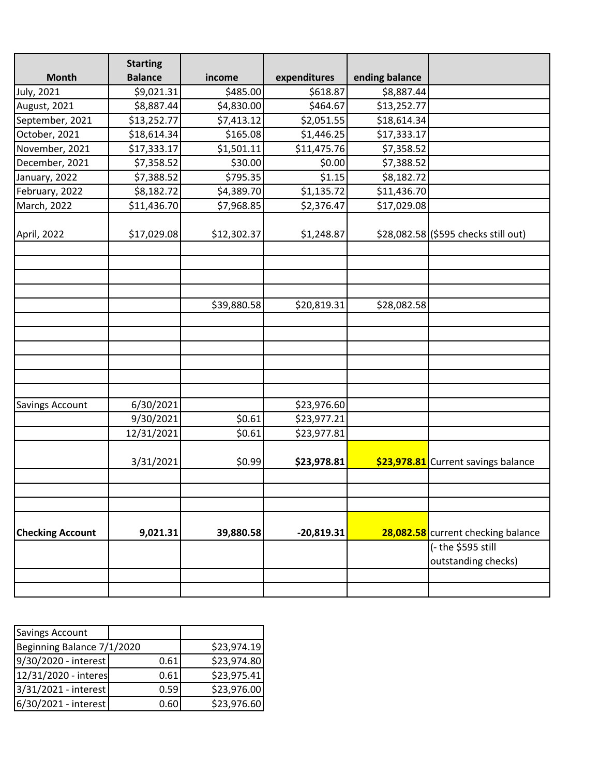| <b>Month</b>            | <b>Starting</b><br><b>Balance</b> | income      | expenditures | ending balance |                                           |
|-------------------------|-----------------------------------|-------------|--------------|----------------|-------------------------------------------|
| <b>July, 2021</b>       | \$9,021.31                        | \$485.00    | \$618.87     | \$8,887.44     |                                           |
| August, 2021            | \$8,887.44                        | \$4,830.00  | \$464.67     | \$13,252.77    |                                           |
| September, 2021         | \$13,252.77                       | \$7,413.12  | \$2,051.55   | \$18,614.34    |                                           |
| October, 2021           | \$18,614.34                       | \$165.08    | \$1,446.25   | \$17,333.17    |                                           |
| November, 2021          | \$17,333.17                       | \$1,501.11  | \$11,475.76  | \$7,358.52     |                                           |
| December, 2021          | \$7,358.52                        | \$30.00     | \$0.00       | \$7,388.52     |                                           |
| January, 2022           | \$7,388.52                        | \$795.35    | \$1.15       | \$8,182.72     |                                           |
| February, 2022          | \$8,182.72                        | \$4,389.70  | \$1,135.72   | \$11,436.70    |                                           |
| March, 2022             | \$11,436.70                       | \$7,968.85  | \$2,376.47   | \$17,029.08    |                                           |
| April, 2022             | \$17,029.08                       | \$12,302.37 | \$1,248.87   |                | \$28,082.58 (\$595 checks still out)      |
|                         |                                   |             |              |                |                                           |
|                         |                                   |             |              |                |                                           |
|                         |                                   | \$39,880.58 | \$20,819.31  | \$28,082.58    |                                           |
|                         |                                   |             |              |                |                                           |
|                         |                                   |             |              |                |                                           |
|                         |                                   |             |              |                |                                           |
|                         |                                   |             |              |                |                                           |
|                         |                                   |             |              |                |                                           |
|                         |                                   |             |              |                |                                           |
| <b>Savings Account</b>  | 6/30/2021                         |             | \$23,976.60  |                |                                           |
|                         | 9/30/2021                         | \$0.61      | \$23,977.21  |                |                                           |
|                         | 12/31/2021                        | \$0.61      | \$23,977.81  |                |                                           |
|                         | 3/31/2021                         | \$0.99      | \$23,978.81  |                | \$23,978.81 Current savings balance       |
|                         |                                   |             |              |                |                                           |
|                         |                                   |             |              |                |                                           |
| <b>Checking Account</b> | 9,021.31                          | 39,880.58   | $-20,819.31$ |                | 28,082.58 current checking balance        |
|                         |                                   |             |              |                | (- the \$595 still<br>outstanding checks) |
|                         |                                   |             |              |                |                                           |
|                         |                                   |             |              |                |                                           |

| <b>Savings Account</b>     |      |             |
|----------------------------|------|-------------|
| Beginning Balance 7/1/2020 |      | \$23,974.19 |
| 9/30/2020 - interest       | 0.61 | \$23,974.80 |
| 12/31/2020 - interes       | 0.61 | \$23,975.41 |
| 3/31/2021 - interest       | 0.59 | \$23,976.00 |
| 6/30/2021 - interest       | 0.60 | \$23,976.60 |